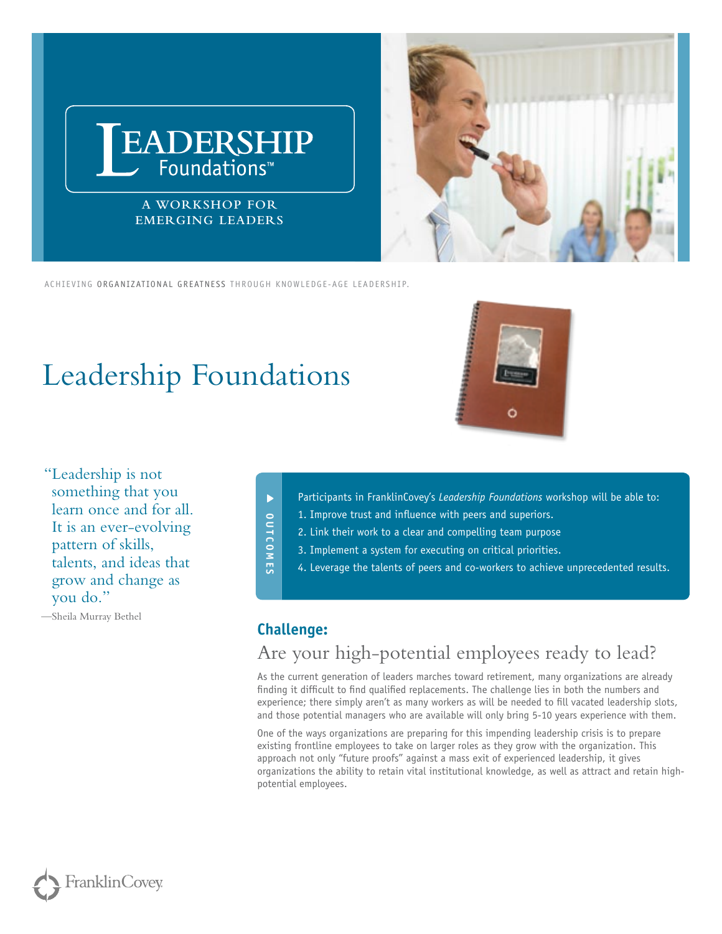

ACHIEVING ORGANIZATIONAL GREATNESS THROUGH KNOWLEDGE-AGE LEADERSHIP.

# Leadership Foundations

 "Leadership is not something that you learn once and for all. It is an ever-evolving pattern of skills, talents, and ideas that grow and change as you do."

—Sheila Murray Bethel



- Participants in FranklinCovey's *Leadership Foundations* workshop will be able to:
- 1. Improve trust and influence with peers and superiors.
- 2. Link their work to a clear and compelling team purpose
- 3. Implement a system for executing on critical priorities.
- 4. Leverage the talents of peers and co-workers to achieve unprecedented results.

#### **Challenge:**

**OUTCOMES**

**OUTCOMES** 

 $\blacktriangleright$ 

## Are your high-potential employees ready to lead?

As the current generation of leaders marches toward retirement, many organizations are already finding it difficult to find qualified replacements. The challenge lies in both the numbers and experience; there simply aren't as many workers as will be needed to fill vacated leadership slots, and those potential managers who are available will only bring 5-10 years experience with them.

One of the ways organizations are preparing for this impending leadership crisis is to prepare existing frontline employees to take on larger roles as they grow with the organization. This approach not only "future proofs" against a mass exit of experienced leadership, it gives organizations the ability to retain vital institutional knowledge, as well as attract and retain highpotential employees.